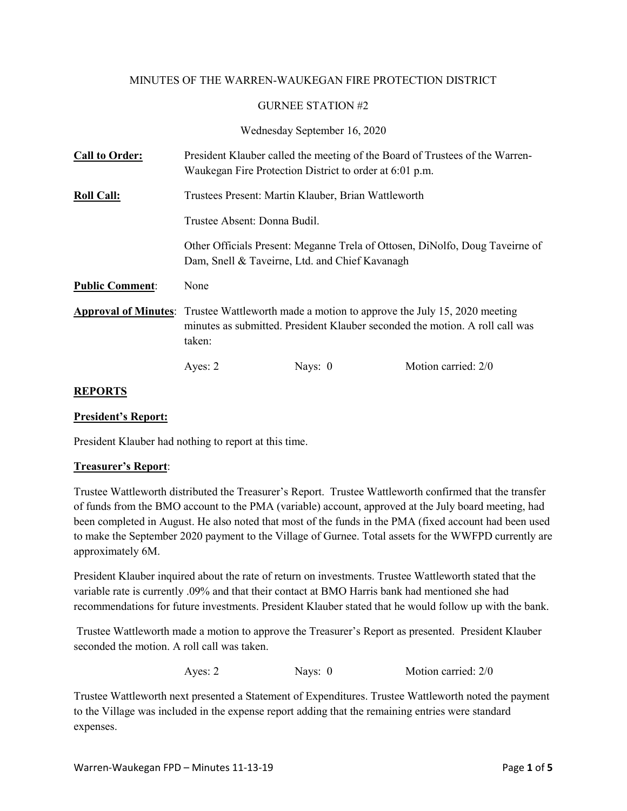### MINUTES OF THE WARREN-WAUKEGAN FIRE PROTECTION DISTRICT

#### GURNEE STATION #2

Wednesday September 16, 2020

| <b>Call to Order:</b>  |                                                                                                                                                                                              | Waukegan Fire Protection District to order at 6:01 p.m. | President Klauber called the meeting of the Board of Trustees of the Warren- |  |
|------------------------|----------------------------------------------------------------------------------------------------------------------------------------------------------------------------------------------|---------------------------------------------------------|------------------------------------------------------------------------------|--|
| <b>Roll Call:</b>      | Trustees Present: Martin Klauber, Brian Wattleworth                                                                                                                                          |                                                         |                                                                              |  |
|                        | Trustee Absent: Donna Budil.                                                                                                                                                                 |                                                         |                                                                              |  |
|                        | Other Officials Present: Meganne Trela of Ottosen, DiNolfo, Doug Taveirne of<br>Dam, Snell & Taveirne, Ltd. and Chief Kavanagh                                                               |                                                         |                                                                              |  |
| <b>Public Comment:</b> | None                                                                                                                                                                                         |                                                         |                                                                              |  |
|                        | <b>Approval of Minutes:</b> Trustee Wattleworth made a motion to approve the July 15, 2020 meeting<br>minutes as submitted. President Klauber seconded the motion. A roll call was<br>taken: |                                                         |                                                                              |  |
|                        | Ayes: 2                                                                                                                                                                                      | Nays: $0$                                               | Motion carried: 2/0                                                          |  |

### **REPORTS**

### **President's Report:**

President Klauber had nothing to report at this time.

### **Treasurer's Report**:

Trustee Wattleworth distributed the Treasurer's Report. Trustee Wattleworth confirmed that the transfer of funds from the BMO account to the PMA (variable) account, approved at the July board meeting, had been completed in August. He also noted that most of the funds in the PMA (fixed account had been used to make the September 2020 payment to the Village of Gurnee. Total assets for the WWFPD currently are approximately 6M.

President Klauber inquired about the rate of return on investments. Trustee Wattleworth stated that the variable rate is currently .09% and that their contact at BMO Harris bank had mentioned she had recommendations for future investments. President Klauber stated that he would follow up with the bank.

Trustee Wattleworth made a motion to approve the Treasurer's Report as presented. President Klauber seconded the motion. A roll call was taken.

Ayes: 2 Nays: 0 Motion carried: 2/0

Trustee Wattleworth next presented a Statement of Expenditures. Trustee Wattleworth noted the payment to the Village was included in the expense report adding that the remaining entries were standard expenses.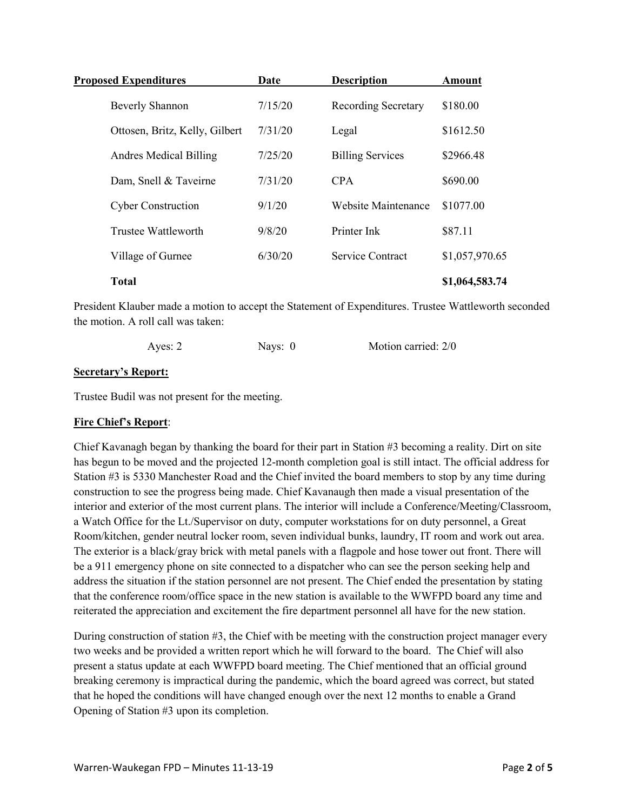| <b>Proposed Expenditures</b>   | Date    | <b>Description</b>         | <b>Amount</b>  |
|--------------------------------|---------|----------------------------|----------------|
| <b>Beverly Shannon</b>         | 7/15/20 | <b>Recording Secretary</b> | \$180.00       |
| Ottosen, Britz, Kelly, Gilbert | 7/31/20 | Legal                      | \$1612.50      |
| <b>Andres Medical Billing</b>  | 7/25/20 | <b>Billing Services</b>    | \$2966.48      |
| Dam, Snell & Taveirne          | 7/31/20 | <b>CPA</b>                 | \$690.00       |
| <b>Cyber Construction</b>      | 9/1/20  | Website Maintenance        | \$1077.00      |
| Trustee Wattleworth            | 9/8/20  | Printer Ink                | \$87.11        |
| Village of Gurnee              | 6/30/20 | <b>Service Contract</b>    | \$1,057,970.65 |
| <b>Total</b>                   |         |                            | \$1,064,583.74 |

President Klauber made a motion to accept the Statement of Expenditures. Trustee Wattleworth seconded the motion. A roll call was taken:

| Ayes: 2 | Navs: 0 | Motion carried: 2/0 |
|---------|---------|---------------------|
|         |         |                     |

### **Secretary's Report:**

Trustee Budil was not present for the meeting.

### **Fire Chief's Report**:

Chief Kavanagh began by thanking the board for their part in Station #3 becoming a reality. Dirt on site has begun to be moved and the projected 12-month completion goal is still intact. The official address for Station #3 is 5330 Manchester Road and the Chief invited the board members to stop by any time during construction to see the progress being made. Chief Kavanaugh then made a visual presentation of the interior and exterior of the most current plans. The interior will include a Conference/Meeting/Classroom, a Watch Office for the Lt./Supervisor on duty, computer workstations for on duty personnel, a Great Room/kitchen, gender neutral locker room, seven individual bunks, laundry, IT room and work out area. The exterior is a black/gray brick with metal panels with a flagpole and hose tower out front. There will be a 911 emergency phone on site connected to a dispatcher who can see the person seeking help and address the situation if the station personnel are not present. The Chief ended the presentation by stating that the conference room/office space in the new station is available to the WWFPD board any time and reiterated the appreciation and excitement the fire department personnel all have for the new station.

During construction of station #3, the Chief with be meeting with the construction project manager every two weeks and be provided a written report which he will forward to the board. The Chief will also present a status update at each WWFPD board meeting. The Chief mentioned that an official ground breaking ceremony is impractical during the pandemic, which the board agreed was correct, but stated that he hoped the conditions will have changed enough over the next 12 months to enable a Grand Opening of Station #3 upon its completion.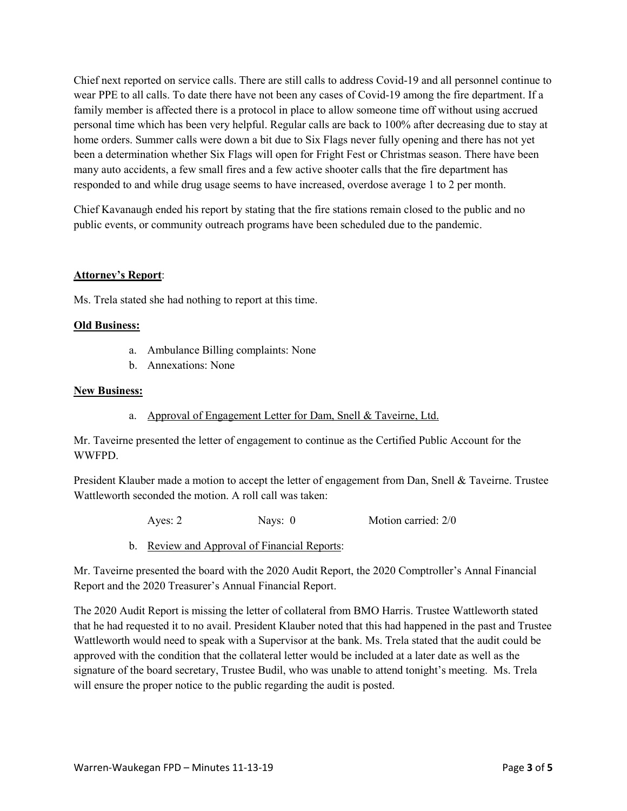Chief next reported on service calls. There are still calls to address Covid-19 and all personnel continue to wear PPE to all calls. To date there have not been any cases of Covid-19 among the fire department. If a family member is affected there is a protocol in place to allow someone time off without using accrued personal time which has been very helpful. Regular calls are back to 100% after decreasing due to stay at home orders. Summer calls were down a bit due to Six Flags never fully opening and there has not yet been a determination whether Six Flags will open for Fright Fest or Christmas season. There have been many auto accidents, a few small fires and a few active shooter calls that the fire department has responded to and while drug usage seems to have increased, overdose average 1 to 2 per month.

Chief Kavanaugh ended his report by stating that the fire stations remain closed to the public and no public events, or community outreach programs have been scheduled due to the pandemic.

### **Attorney's Report**:

Ms. Trela stated she had nothing to report at this time.

### **Old Business:**

- a. Ambulance Billing complaints: None
- b. Annexations: None

#### **New Business:**

a. Approval of Engagement Letter for Dam, Snell & Taveirne, Ltd.

Mr. Taveirne presented the letter of engagement to continue as the Certified Public Account for the WWFPD.

President Klauber made a motion to accept the letter of engagement from Dan, Snell & Taveirne. Trustee Wattleworth seconded the motion. A roll call was taken:

Ayes: 2 Nays: 0 Motion carried: 2/0

b. Review and Approval of Financial Reports:

Mr. Taveirne presented the board with the 2020 Audit Report, the 2020 Comptroller's Annal Financial Report and the 2020 Treasurer's Annual Financial Report.

The 2020 Audit Report is missing the letter of collateral from BMO Harris. Trustee Wattleworth stated that he had requested it to no avail. President Klauber noted that this had happened in the past and Trustee Wattleworth would need to speak with a Supervisor at the bank. Ms. Trela stated that the audit could be approved with the condition that the collateral letter would be included at a later date as well as the signature of the board secretary, Trustee Budil, who was unable to attend tonight's meeting. Ms. Trela will ensure the proper notice to the public regarding the audit is posted.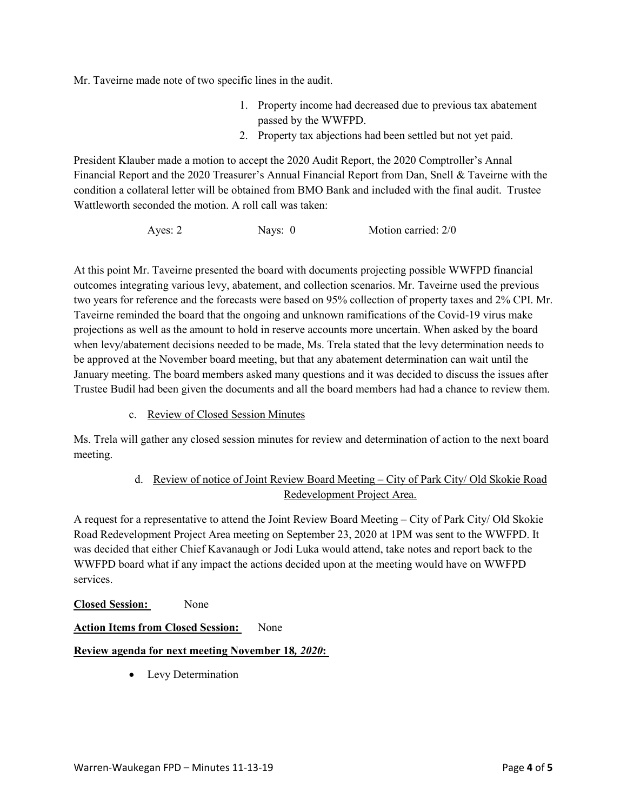Mr. Taveirne made note of two specific lines in the audit.

- 1. Property income had decreased due to previous tax abatement passed by the WWFPD.
- 2. Property tax abjections had been settled but not yet paid.

President Klauber made a motion to accept the 2020 Audit Report, the 2020 Comptroller's Annal Financial Report and the 2020 Treasurer's Annual Financial Report from Dan, Snell & Taveirne with the condition a collateral letter will be obtained from BMO Bank and included with the final audit. Trustee Wattleworth seconded the motion. A roll call was taken:

```
Ayes: 2 Nays: 0 Motion carried: 2/0
```
At this point Mr. Taveirne presented the board with documents projecting possible WWFPD financial outcomes integrating various levy, abatement, and collection scenarios. Mr. Taveirne used the previous two years for reference and the forecasts were based on 95% collection of property taxes and 2% CPI. Mr. Taveirne reminded the board that the ongoing and unknown ramifications of the Covid-19 virus make projections as well as the amount to hold in reserve accounts more uncertain. When asked by the board when levy/abatement decisions needed to be made, Ms. Trela stated that the levy determination needs to be approved at the November board meeting, but that any abatement determination can wait until the January meeting. The board members asked many questions and it was decided to discuss the issues after Trustee Budil had been given the documents and all the board members had had a chance to review them.

c. Review of Closed Session Minutes

Ms. Trela will gather any closed session minutes for review and determination of action to the next board meeting.

# d. Review of notice of Joint Review Board Meeting – City of Park City/ Old Skokie Road Redevelopment Project Area.

A request for a representative to attend the Joint Review Board Meeting – City of Park City/ Old Skokie Road Redevelopment Project Area meeting on September 23, 2020 at 1PM was sent to the WWFPD. It was decided that either Chief Kavanaugh or Jodi Luka would attend, take notes and report back to the WWFPD board what if any impact the actions decided upon at the meeting would have on WWFPD services.

**Closed Session:** None

# **Action Items from Closed Session:** None

# **Review agenda for next meeting November 18***, 2020***:**

• Levy Determination